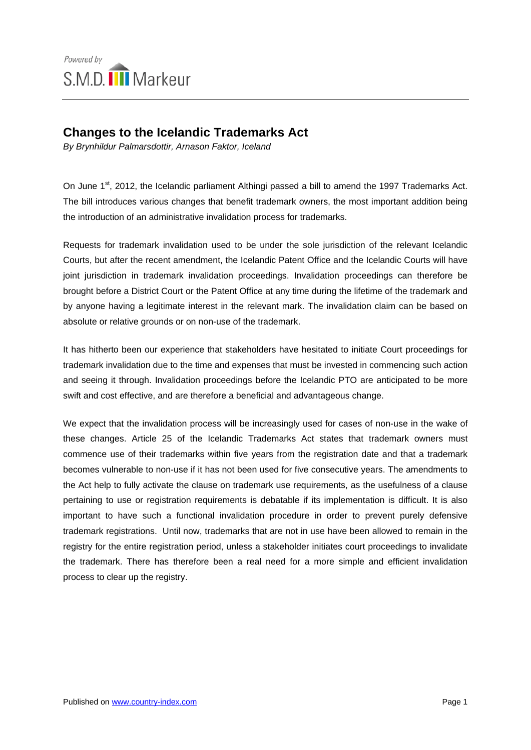

## **Changes to the Icelandic Trademarks Act**

*By Brynhildur Palmarsdottir, Arnason Faktor, Iceland* 

On June 1<sup>st</sup>, 2012, the Icelandic parliament Althingi passed a bill to amend the 1997 Trademarks Act. The bill introduces various changes that benefit trademark owners, the most important addition being the introduction of an administrative invalidation process for trademarks.

Requests for trademark invalidation used to be under the sole jurisdiction of the relevant Icelandic Courts, but after the recent amendment, the Icelandic Patent Office and the Icelandic Courts will have joint jurisdiction in trademark invalidation proceedings. Invalidation proceedings can therefore be brought before a District Court or the Patent Office at any time during the lifetime of the trademark and by anyone having a legitimate interest in the relevant mark. The invalidation claim can be based on absolute or relative grounds or on non-use of the trademark.

It has hitherto been our experience that stakeholders have hesitated to initiate Court proceedings for trademark invalidation due to the time and expenses that must be invested in commencing such action and seeing it through. Invalidation proceedings before the Icelandic PTO are anticipated to be more swift and cost effective, and are therefore a beneficial and advantageous change.

We expect that the invalidation process will be increasingly used for cases of non-use in the wake of these changes. Article 25 of the Icelandic Trademarks Act states that trademark owners must commence use of their trademarks within five years from the registration date and that a trademark becomes vulnerable to non-use if it has not been used for five consecutive years. The amendments to the Act help to fully activate the clause on trademark use requirements, as the usefulness of a clause pertaining to use or registration requirements is debatable if its implementation is difficult. It is also important to have such a functional invalidation procedure in order to prevent purely defensive trademark registrations. Until now, trademarks that are not in use have been allowed to remain in the registry for the entire registration period, unless a stakeholder initiates court proceedings to invalidate the trademark. There has therefore been a real need for a more simple and efficient invalidation process to clear up the registry.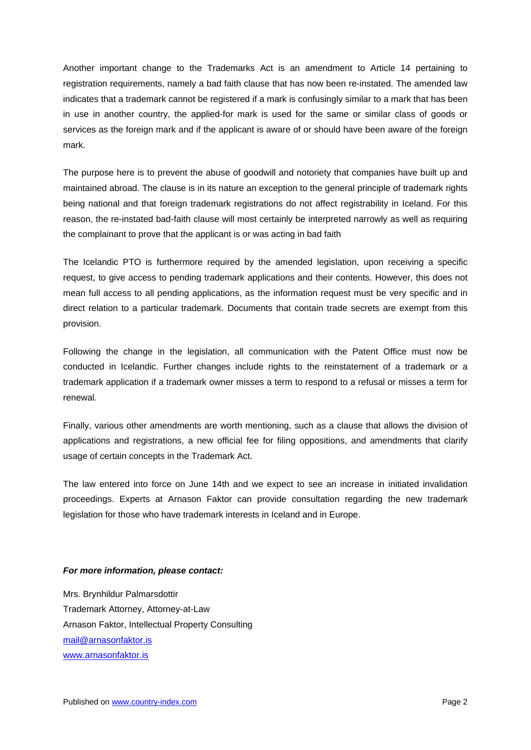Another important change to the Trademarks Act is an amendment to Article 14 pertaining to registration requirements, namely a bad faith clause that has now been re-instated. The amended law indicates that a trademark cannot be registered if a mark is confusingly similar to a mark that has been in use in another country, the applied-for mark is used for the same or similar class of goods or services as the foreign mark and if the applicant is aware of or should have been aware of the foreign mark.

The purpose here is to prevent the abuse of goodwill and notoriety that companies have built up and maintained abroad. The clause is in its nature an exception to the general principle of trademark rights being national and that foreign trademark registrations do not affect registrability in Iceland. For this reason, the re-instated bad-faith clause will most certainly be interpreted narrowly as well as requiring the complainant to prove that the applicant is or was acting in bad faith

The Icelandic PTO is furthermore required by the amended legislation, upon receiving a specific request, to give access to pending trademark applications and their contents. However, this does not mean full access to all pending applications, as the information request must be very specific and in direct relation to a particular trademark. Documents that contain trade secrets are exempt from this provision.

Following the change in the legislation, all communication with the Patent Office must now be conducted in Icelandic. Further changes include rights to the reinstatement of a trademark or a trademark application if a trademark owner misses a term to respond to a refusal or misses a term for renewal.

Finally, various other amendments are worth mentioning, such as a clause that allows the division of applications and registrations, a new official fee for filing oppositions, and amendments that clarify usage of certain concepts in the Trademark Act.

The law entered into force on June 14th and we expect to see an increase in initiated invalidation proceedings. Experts at Arnason Faktor can provide consultation regarding the new trademark legislation for those who have trademark interests in Iceland and in Europe.

## *For more information, please contact:*

Mrs. Brynhildur Palmarsdottir Trademark Attorney, Attorney-at-Law Arnason Faktor, Intellectual Property Consulting [mail@arnasonfaktor.is](mailto:mail@arnasonfaktor.is) [www.arnasonfaktor.is](http://www.arnasonfaktor.is/)